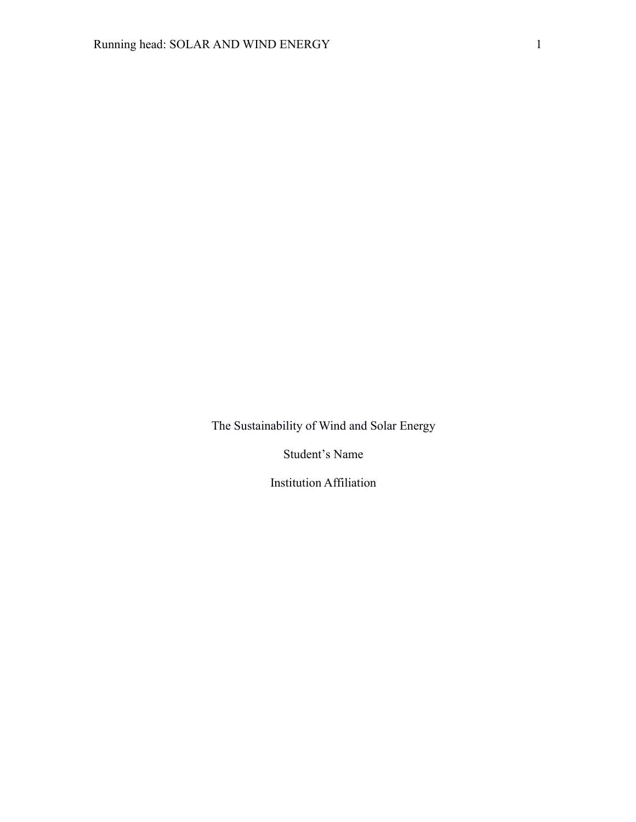The Sustainability of Wind and Solar Energy

Student's Name

Institution Affiliation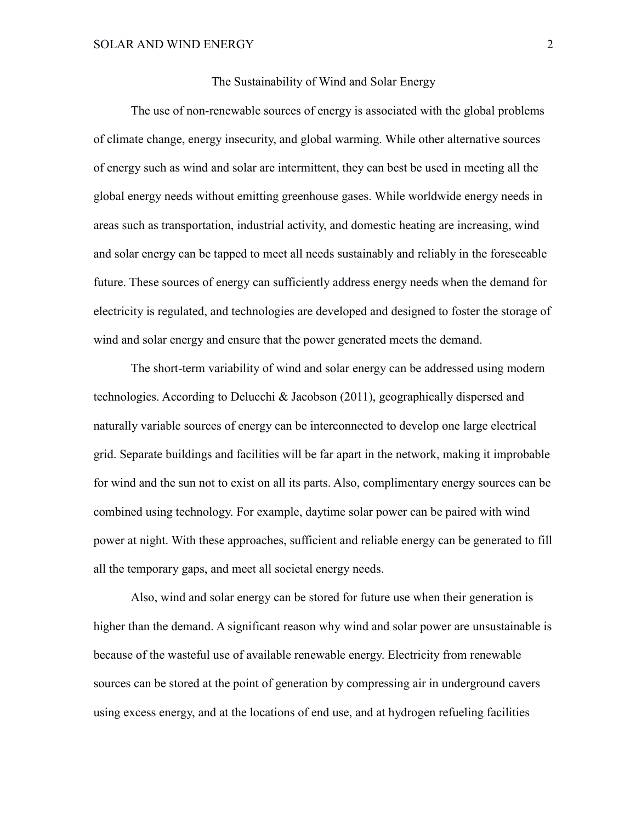## The Sustainability of Wind and Solar Energy

The use of non-renewable sources of energy is associated with the global problems of climate change, energy insecurity, and global warming. While other alternative sources of energy such as wind and solar are intermittent, they can best be used in meeting all the global energy needs without emitting greenhouse gases. While worldwide energy needs in areas such as transportation, industrial activity, and domestic heating are increasing, wind and solar energy can be tapped to meet all needs sustainably and reliably in the foreseeable future. These sources of energy can sufficiently address energy needs when the demand for electricity is regulated, and technologies are developed and designed to foster the storage of wind and solar energy and ensure that the power generated meets the demand.

The short-term variability of wind and solar energy can be addressed using modern technologies. According to Delucchi & Jacobson (2011), geographically dispersed and naturally variable sources of energy can be interconnected to develop one large electrical grid. Separate buildings and facilities will be far apart in the network, making it improbable for wind and the sun not to exist on all its parts. Also, complimentary energy sources can be combined using technology. For example, daytime solar power can be paired with wind power at night. With these approaches, sufficient and reliable energy can be generated to fill all the temporary gaps, and meet all societal energy needs.

Also, wind and solar energy can be stored for future use when their generation is higher than the demand. A significant reason why wind and solar power are unsustainable is because of the wasteful use of available renewable energy. Electricity from renewable sources can be stored at the point of generation by compressing air in underground cavers using excess energy, and at the locations of end use, and at hydrogen refueling facilities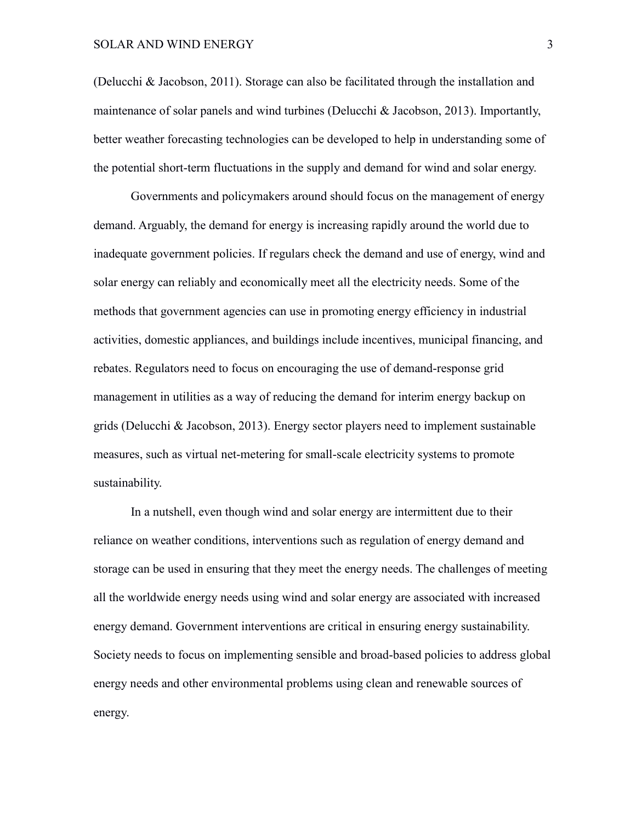(Delucchi & Jacobson, 2011). Storage can also be facilitated through the installation and maintenance of solar panels and wind turbines (Delucchi & Jacobson, 2013). Importantly, better weather forecasting technologies can be developed to help in understanding some of the potential short-term fluctuations in the supply and demand for wind and solar energy.

Governments and policymakers around should focus on the management of energy demand. Arguably, the demand for energy is increasing rapidly around the world due to inadequate government policies. If regulars check the demand and use of energy, wind and solar energy can reliably and economically meet all the electricity needs. Some of the methods that government agencies can use in promoting energy efficiency in industrial activities, domestic appliances, and buildings include incentives, municipal financing, and rebates. Regulators need to focus on encouraging the use of demand-response grid management in utilities as a way of reducing the demand for interim energy backup on grids (Delucchi & Jacobson, 2013). Energy sector players need to implement sustainable measures, such as virtual net-metering for small-scale electricity systems to promote sustainability.

In a nutshell, even though wind and solar energy are intermittent due to their reliance on weather conditions, interventions such as regulation of energy demand and storage can be used in ensuring that they meet the energy needs. The challenges of meeting all the worldwide energy needs using wind and solar energy are associated with increased energy demand. Government interventions are critical in ensuring energy sustainability. Society needs to focus on implementing sensible and broad-based policies to address global energy needs and other environmental problems using clean and renewable sources of energy.